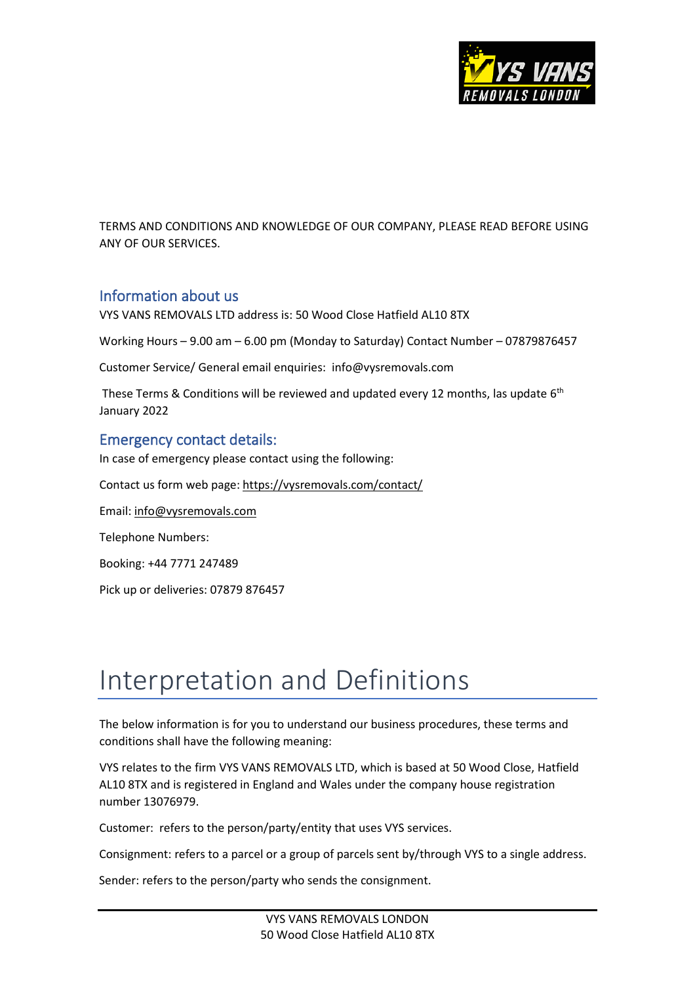

TERMS AND CONDITIONS AND KNOWLEDGE OF OUR COMPANY, PLEASE READ BEFORE USING ANY OF OUR SERVICES.

#### Information about us

VYS VANS REMOVALS LTD address is: 50 Wood Close Hatfield AL10 8TX

Working Hours – 9.00 am – 6.00 pm (Monday to Saturday) Contact Number – 07879876457

Customer Service/ General email enquiries: info@vysremovals.com

These Terms & Conditions will be reviewed and updated every 12 months, las update  $6<sup>th</sup>$ January 2022

#### Emergency contact details:

In case of emergency please contact using the following:

Contact us form web page: <https://vysremovals.com/contact/>

Email: [info@vysremovals.com](mailto:info@vysremovals.com)

Telephone Numbers:

Booking: +44 7771 247489

Pick up or deliveries: 07879 876457

# Interpretation and Definitions

The below information is for you to understand our business procedures, these terms and conditions shall have the following meaning:

VYS relates to the firm VYS VANS REMOVALS LTD, which is based at 50 Wood Close, Hatfield AL10 8TX and is registered in England and Wales under the company house registration number 13076979.

Customer: refers to the person/party/entity that uses VYS services.

Consignment: refers to a parcel or a group of parcels sent by/through VYS to a single address.

Sender: refers to the person/party who sends the consignment.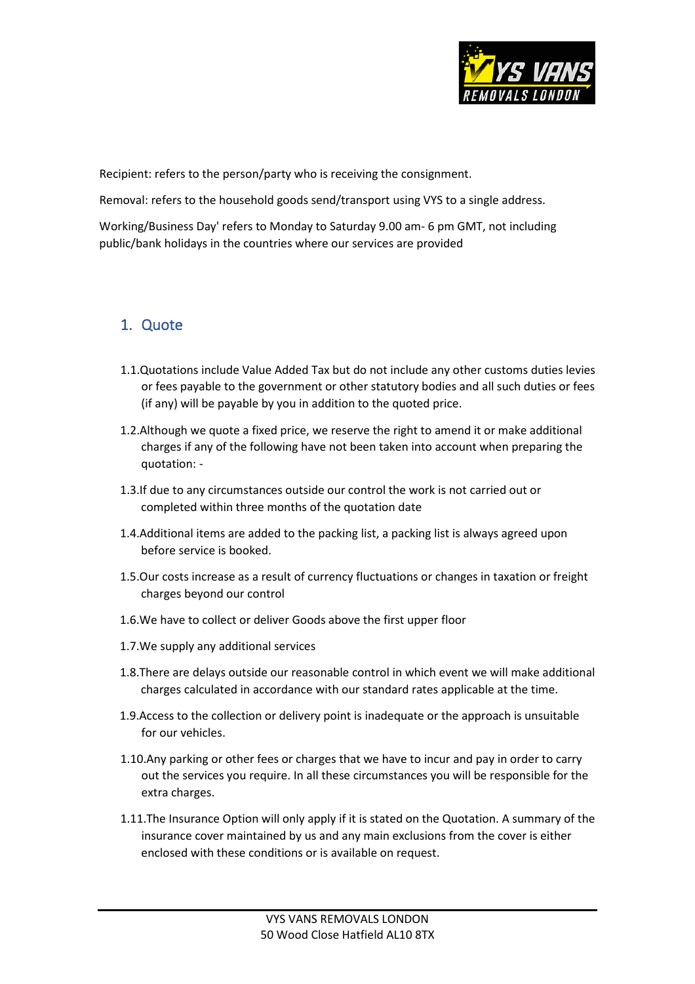

Recipient: refers to the person/party who is receiving the consignment.

Removal: refers to the household goods send/transport using VYS to a single address.

Working/Business Day' refers to Monday to Saturday 9.00 am- 6 pm GMT, not including public/bank holidays in the countries where our services are provided

#### 1. Quote

- 1.1.Quotations include Value Added Tax but do not include any other customs duties levies or fees payable to the government or other statutory bodies and all such duties or fees (if any) will be payable by you in addition to the quoted price.
- 1.2.Although we quote a fixed price, we reserve the right to amend it or make additional charges if any of the following have not been taken into account when preparing the quotation: -
- 1.3.If due to any circumstances outside our control the work is not carried out or completed within three months of the quotation date
- 1.4.Additional items are added to the packing list, a packing list is always agreed upon before service is booked.
- 1.5.Our costs increase as a result of currency fluctuations or changes in taxation or freight charges beyond our control
- 1.6.We have to collect or deliver Goods above the first upper floor
- 1.7.We supply any additional services
- 1.8.There are delays outside our reasonable control in which event we will make additional charges calculated in accordance with our standard rates applicable at the time.
- 1.9.Access to the collection or delivery point is inadequate or the approach is unsuitable for our vehicles.
- 1.10.Any parking or other fees or charges that we have to incur and pay in order to carry out the services you require. In all these circumstances you will be responsible for the extra charges.
- 1.11.The Insurance Option will only apply if it is stated on the Quotation. A summary of the insurance cover maintained by us and any main exclusions from the cover is either enclosed with these conditions or is available on request.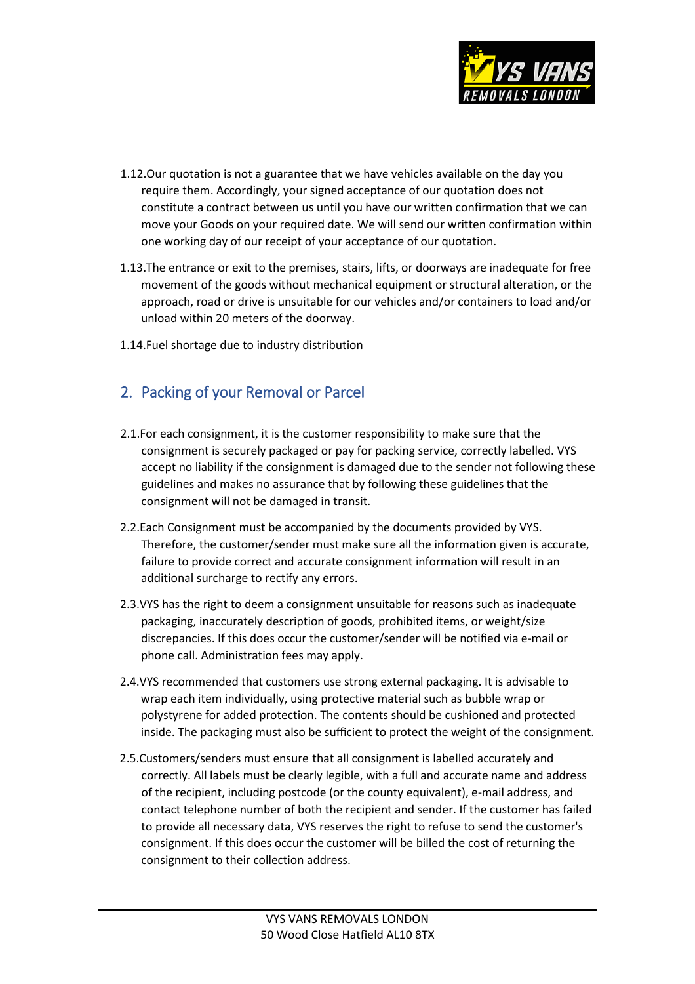

- 1.12.Our quotation is not a guarantee that we have vehicles available on the day you require them. Accordingly, your signed acceptance of our quotation does not constitute a contract between us until you have our written confirmation that we can move your Goods on your required date. We will send our written confirmation within one working day of our receipt of your acceptance of our quotation.
- 1.13.The entrance or exit to the premises, stairs, lifts, or doorways are inadequate for free movement of the goods without mechanical equipment or structural alteration, or the approach, road or drive is unsuitable for our vehicles and/or containers to load and/or unload within 20 meters of the doorway.
- 1.14.Fuel shortage due to industry distribution

## 2. Packing of your Removal or Parcel

- 2.1.For each consignment, it is the customer responsibility to make sure that the consignment is securely packaged or pay for packing service, correctly labelled. VYS accept no liability if the consignment is damaged due to the sender not following these guidelines and makes no assurance that by following these guidelines that the consignment will not be damaged in transit.
- 2.2.Each Consignment must be accompanied by the documents provided by VYS. Therefore, the customer/sender must make sure all the information given is accurate, failure to provide correct and accurate consignment information will result in an additional surcharge to rectify any errors.
- 2.3.VYS has the right to deem a consignment unsuitable for reasons such as inadequate packaging, inaccurately description of goods, prohibited items, or weight/size discrepancies. If this does occur the customer/sender will be notified via e-mail or phone call. Administration fees may apply.
- 2.4.VYS recommended that customers use strong external packaging. It is advisable to wrap each item individually, using protective material such as bubble wrap or polystyrene for added protection. The contents should be cushioned and protected inside. The packaging must also be sufficient to protect the weight of the consignment.
- 2.5.Customers/senders must ensure that all consignment is labelled accurately and correctly. All labels must be clearly legible, with a full and accurate name and address of the recipient, including postcode (or the county equivalent), e-mail address, and contact telephone number of both the recipient and sender. If the customer has failed to provide all necessary data, VYS reserves the right to refuse to send the customer's consignment. If this does occur the customer will be billed the cost of returning the consignment to their collection address.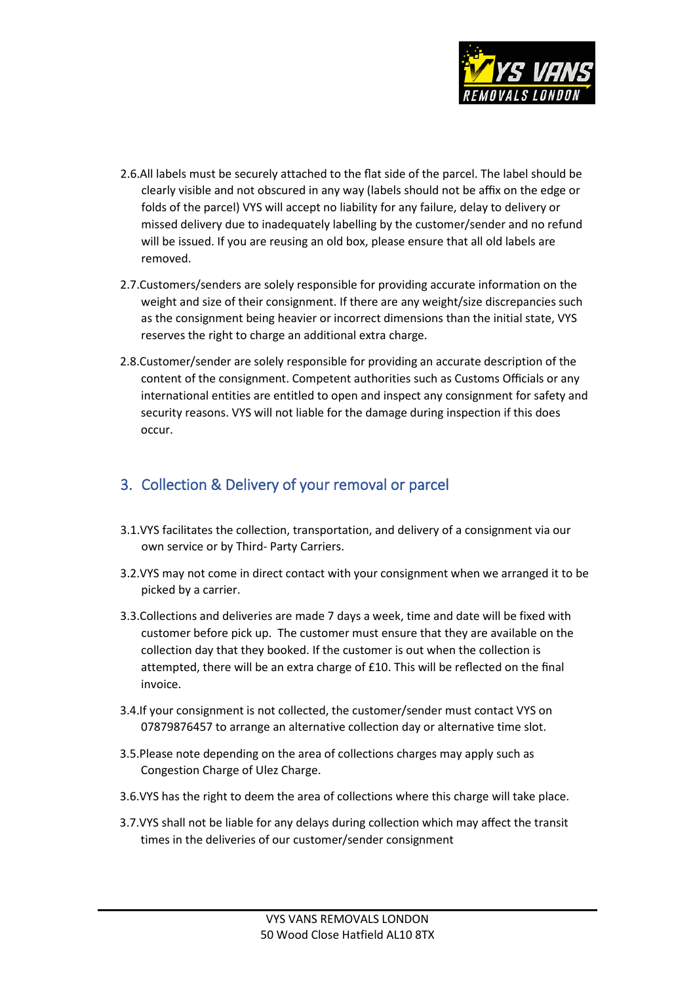

- 2.6.All labels must be securely attached to the flat side of the parcel. The label should be clearly visible and not obscured in any way (labels should not be affix on the edge or folds of the parcel) VYS will accept no liability for any failure, delay to delivery or missed delivery due to inadequately labelling by the customer/sender and no refund will be issued. If you are reusing an old box, please ensure that all old labels are removed.
- 2.7.Customers/senders are solely responsible for providing accurate information on the weight and size of their consignment. If there are any weight/size discrepancies such as the consignment being heavier or incorrect dimensions than the initial state, VYS reserves the right to charge an additional extra charge.
- 2.8.Customer/sender are solely responsible for providing an accurate description of the content of the consignment. Competent authorities such as Customs Officials or any international entities are entitled to open and inspect any consignment for safety and security reasons. VYS will not liable for the damage during inspection if this does occur.

### 3. Collection & Delivery of your removal or parcel

- 3.1.VYS facilitates the collection, transportation, and delivery of a consignment via our own service or by Third- Party Carriers.
- 3.2.VYS may not come in direct contact with your consignment when we arranged it to be picked by a carrier.
- 3.3.Collections and deliveries are made 7 days a week, time and date will be fixed with customer before pick up. The customer must ensure that they are available on the collection day that they booked. If the customer is out when the collection is attempted, there will be an extra charge of £10. This will be reflected on the final invoice.
- 3.4.If your consignment is not collected, the customer/sender must contact VYS on 07879876457 to arrange an alternative collection day or alternative time slot.
- 3.5.Please note depending on the area of collections charges may apply such as Congestion Charge of Ulez Charge.
- 3.6.VYS has the right to deem the area of collections where this charge will take place.
- 3.7.VYS shall not be liable for any delays during collection which may affect the transit times in the deliveries of our customer/sender consignment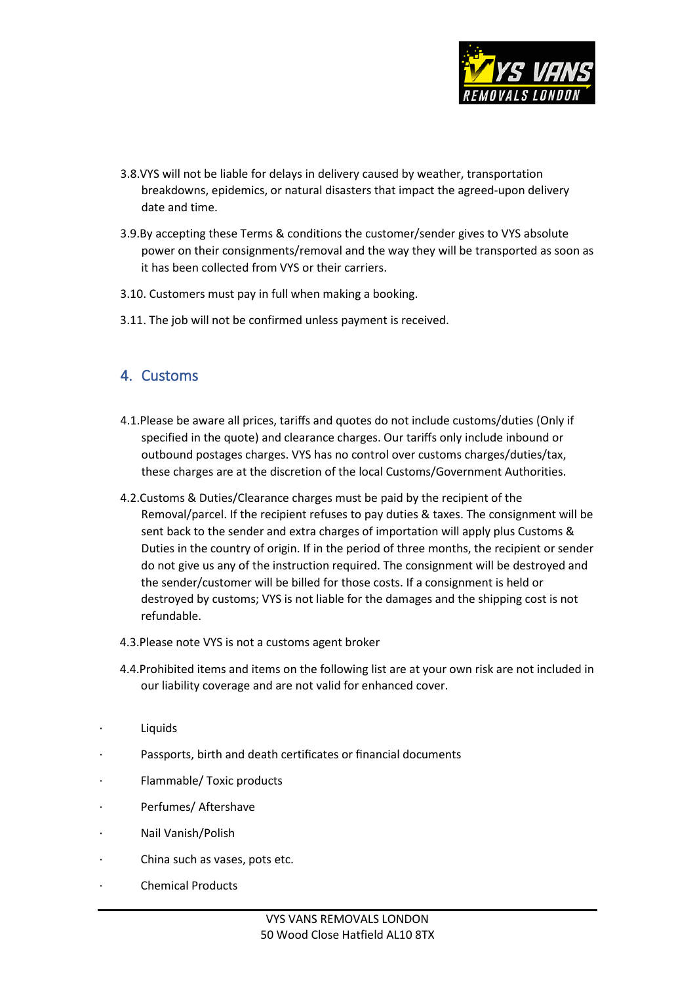

- 3.8.VYS will not be liable for delays in delivery caused by weather, transportation breakdowns, epidemics, or natural disasters that impact the agreed-upon delivery date and time.
- 3.9.By accepting these Terms & conditions the customer/sender gives to VYS absolute power on their consignments/removal and the way they will be transported as soon as it has been collected from VYS or their carriers.
- 3.10. Customers must pay in full when making a booking.
- 3.11. The job will not be confirmed unless payment is received.

#### 4. Customs

- 4.1.Please be aware all prices, tariffs and quotes do not include customs/duties (Only if specified in the quote) and clearance charges. Our tariffs only include inbound or outbound postages charges. VYS has no control over customs charges/duties/tax, these charges are at the discretion of the local Customs/Government Authorities.
- 4.2.Customs & Duties/Clearance charges must be paid by the recipient of the Removal/parcel. If the recipient refuses to pay duties & taxes. The consignment will be sent back to the sender and extra charges of importation will apply plus Customs & Duties in the country of origin. If in the period of three months, the recipient or sender do not give us any of the instruction required. The consignment will be destroyed and the sender/customer will be billed for those costs. If a consignment is held or destroyed by customs; VYS is not liable for the damages and the shipping cost is not refundable.
- 4.3.Please note VYS is not a customs agent broker
- 4.4.Prohibited items and items on the following list are at your own risk are not included in our liability coverage and are not valid for enhanced cover.
- **Liquids**
- Passports, birth and death certificates or financial documents
- Flammable/ Toxic products
- Perfumes/ Aftershave
- · Nail Vanish/Polish
- China such as vases, pots etc.
- · Chemical Products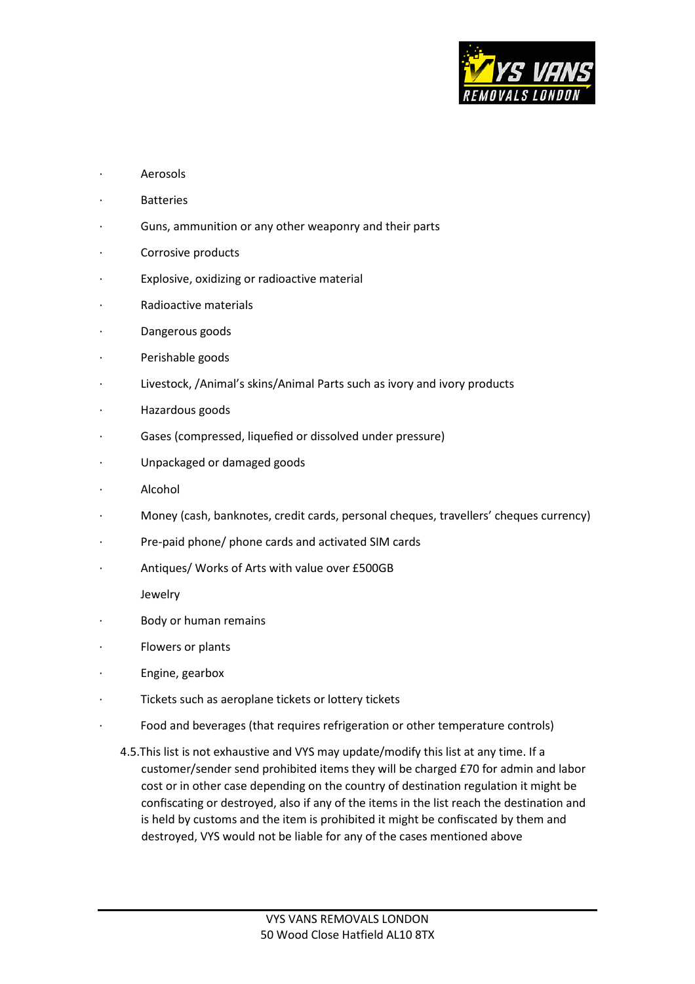

- **Aerosols**
- **Batteries**
- Guns, ammunition or any other weaponry and their parts
- Corrosive products
- Explosive, oxidizing or radioactive material
- Radioactive materials
- Dangerous goods
- Perishable goods
- Livestock, /Animal's skins/Animal Parts such as ivory and ivory products
- · Hazardous goods
- Gases (compressed, liquefied or dissolved under pressure)
- · Unpackaged or damaged goods
- **Alcohol**
- Money (cash, banknotes, credit cards, personal cheques, travellers' cheques currency)
- Pre-paid phone/ phone cards and activated SIM cards
- Antiques/ Works of Arts with value over £500GB

Jewelry

- Body or human remains
- Flowers or plants
- · Engine, gearbox
- Tickets such as aeroplane tickets or lottery tickets
- Food and beverages (that requires refrigeration or other temperature controls)
	- 4.5.This list is not exhaustive and VYS may update/modify this list at any time. If a customer/sender send prohibited items they will be charged £70 for admin and labor cost or in other case depending on the country of destination regulation it might be confiscating or destroyed, also if any of the items in the list reach the destination and is held by customs and the item is prohibited it might be confiscated by them and destroyed, VYS would not be liable for any of the cases mentioned above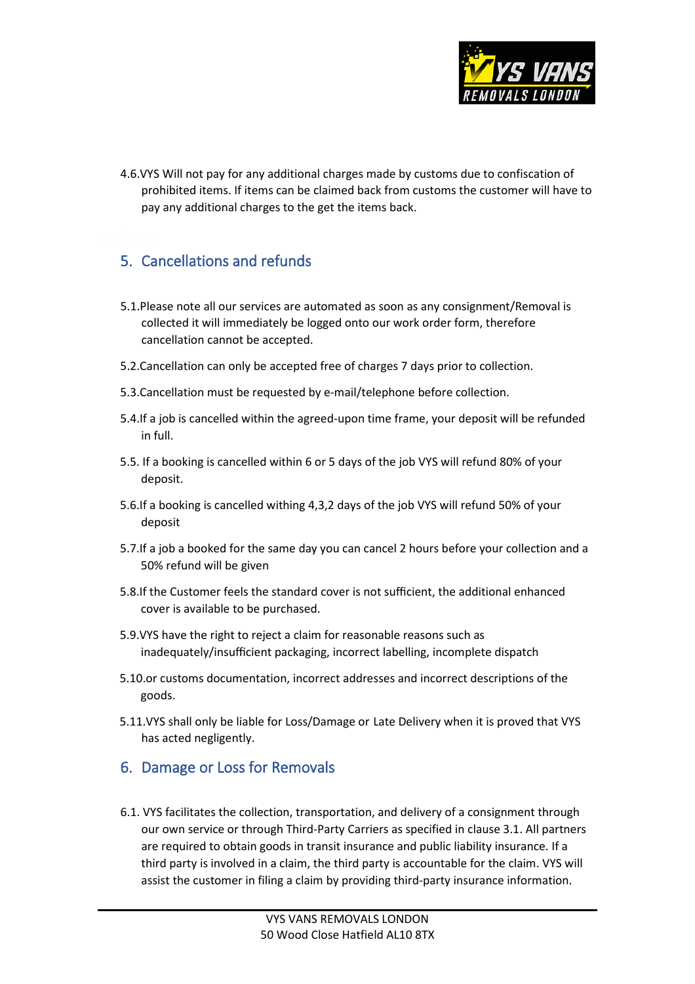

4.6.VYS Will not pay for any additional charges made by customs due to confiscation of prohibited items. If items can be claimed back from customs the customer will have to pay any additional charges to the get the items back.

# 5. Cancellations and refunds

- 5.1.Please note all our services are automated as soon as any consignment/Removal is collected it will immediately be logged onto our work order form, therefore cancellation cannot be accepted.
- 5.2.Cancellation can only be accepted free of charges 7 days prior to collection.
- 5.3.Cancellation must be requested by e-mail/telephone before collection.
- 5.4.If a job is cancelled within the agreed-upon time frame, your deposit will be refunded in full.
- 5.5. If a booking is cancelled within 6 or 5 days of the job VYS will refund 80% of your deposit.
- 5.6.If a booking is cancelled withing 4,3,2 days of the job VYS will refund 50% of your deposit
- 5.7.If a job a booked for the same day you can cancel 2 hours before your collection and a 50% refund will be given
- 5.8.If the Customer feels the standard cover is not sufficient, the additional enhanced cover is available to be purchased.
- 5.9.VYS have the right to reject a claim for reasonable reasons such as inadequately/insufficient packaging, incorrect labelling, incomplete dispatch
- 5.10.or customs documentation, incorrect addresses and incorrect descriptions of the goods.
- 5.11.VYS shall only be liable for Loss/Damage or Late Delivery when it is proved that VYS has acted negligently.

#### 6. Damage or Loss for Removals

6.1. VYS facilitates the collection, transportation, and delivery of a consignment through our own service or through Third-Party Carriers as specified in clause 3.1. All partners are required to obtain goods in transit insurance and public liability insurance. If a third party is involved in a claim, the third party is accountable for the claim. VYS will assist the customer in filing a claim by providing third-party insurance information.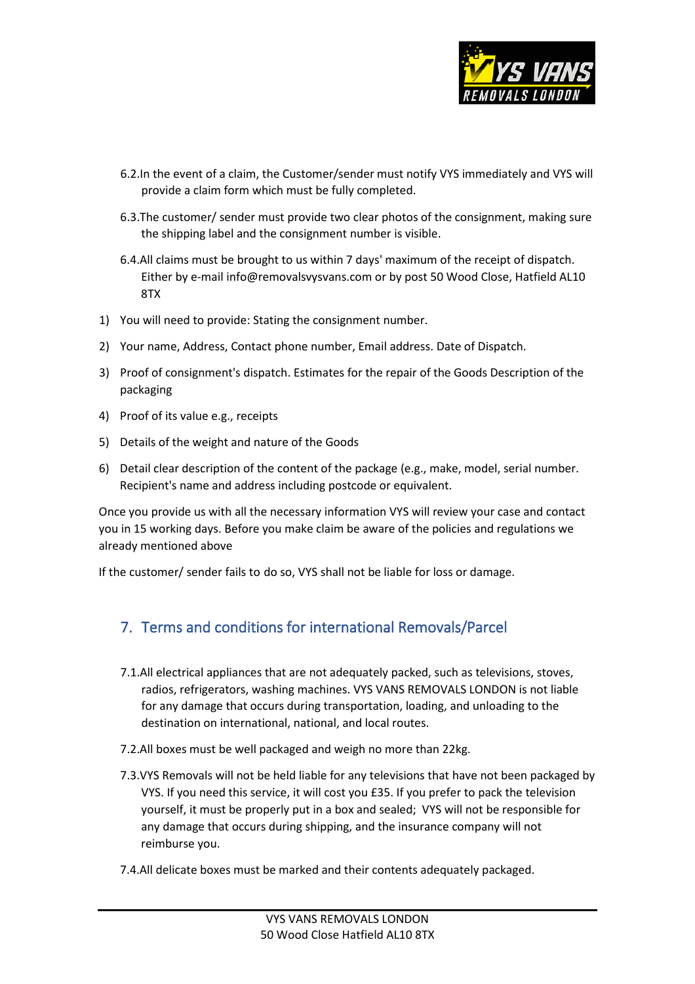

- 6.2.In the event of a claim, the Customer/sender must notify VYS immediately and VYS will provide a claim form which must be fully completed.
- 6.3.The customer/ sender must provide two clear photos of the consignment, making sure the shipping label and the consignment number is visible.
- 6.4.All claims must be brought to us within 7 days' maximum of the receipt of dispatch. Either by e-mail info@removalsvysvans.com or by post 50 Wood Close, Hatfield AL10 8TX
- 1) You will need to provide: Stating the consignment number.
- 2) Your name, Address, Contact phone number, Email address. Date of Dispatch.
- 3) Proof of consignment's dispatch. Estimates for the repair of the Goods Description of the packaging
- 4) Proof of its value e.g., receipts
- 5) Details of the weight and nature of the Goods
- 6) Detail clear description of the content of the package (e.g., make, model, serial number. Recipient's name and address including postcode or equivalent.

Once you provide us with all the necessary information VYS will review your case and contact you in 15 working days. Before you make claim be aware of the policies and regulations we already mentioned above

If the customer/ sender fails to do so, VYS shall not be liable for loss or damage.

# 7. Terms and conditions for international Removals/Parcel

- 7.1.All electrical appliances that are not adequately packed, such as televisions, stoves, radios, refrigerators, washing machines. VYS VANS REMOVALS LONDON is not liable for any damage that occurs during transportation, loading, and unloading to the destination on international, national, and local routes.
- 7.2.All boxes must be well packaged and weigh no more than 22kg.
- 7.3.VYS Removals will not be held liable for any televisions that have not been packaged by VYS. If you need this service, it will cost you £35. If you prefer to pack the television yourself, it must be properly put in a box and sealed; VYS will not be responsible for any damage that occurs during shipping, and the insurance company will not reimburse you.
- 7.4.All delicate boxes must be marked and their contents adequately packaged.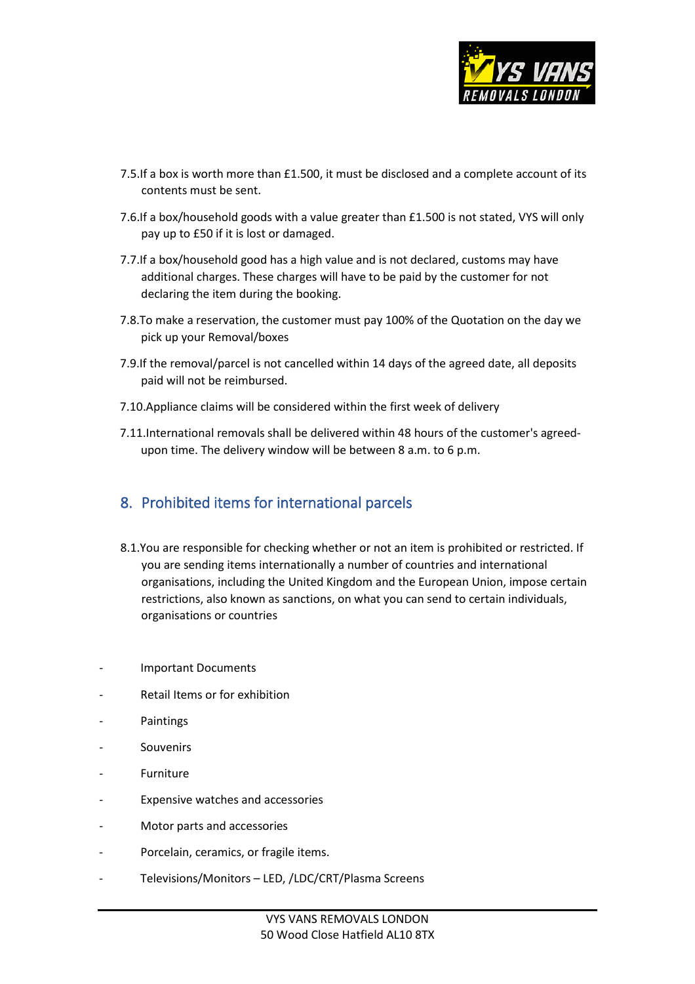

- 7.5.If a box is worth more than £1.500, it must be disclosed and a complete account of its contents must be sent.
- 7.6.If a box/household goods with a value greater than £1.500 is not stated, VYS will only pay up to £50 if it is lost or damaged.
- 7.7.If a box/household good has a high value and is not declared, customs may have additional charges. These charges will have to be paid by the customer for not declaring the item during the booking.
- 7.8.To make a reservation, the customer must pay 100% of the Quotation on the day we pick up your Removal/boxes
- 7.9.If the removal/parcel is not cancelled within 14 days of the agreed date, all deposits paid will not be reimbursed.
- 7.10.Appliance claims will be considered within the first week of delivery
- 7.11.International removals shall be delivered within 48 hours of the customer's agreedupon time. The delivery window will be between 8 a.m. to 6 p.m.

#### 8. Prohibited items for international parcels

- 8.1.You are responsible for checking whether or not an item is prohibited or restricted. If you are sending items internationally a number of countries and international organisations, including the United Kingdom and the European Union, [impose](https://www.royalmail.com/sending/international-sanctions) certain [restrictions,](https://www.royalmail.com/sending/international-sanctions) also known as sanctions, on what you can send to certain individuals, organisations or countries
- Important Documents
- Retail Items or for exhibition
- **Paintings**
- **Souvenirs**
- **Furniture**
- Expensive watches and accessories
- Motor parts and accessories
- Porcelain, ceramics, or fragile items.
- Televisions/Monitors LED, /LDC/CRT/Plasma Screens